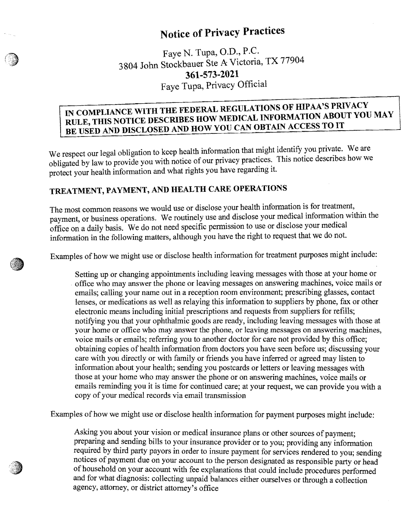# **Notice of Privacy Practices**

Faye N. Tupa, O.D., P.C. 3804 John Stockbauer Ste A Victoria, TX 77904 **361-573-2021**  Faye Tupa, Privacy Official

### **BE USED AND DISCLOSED AND HOW YOU CAN OBTAIN ACCESS TO IT IN COMPLIANCE WITH THE FEDERAL REGULATIONS OF HIPAA'S PRIVACY**  RULE, THIS NOTICE DESCRIBES HOW MEDICAL INFORMATION ABOUT YOU MAY

We respect our legal obligation to keep health information that might identify you private. We are obligated by law to provide you with notice of our privacy practices. This notice describes how we protect your health information and what rights you have regarding it.

## **TREATMENT, PAYMENT, AND HEALTH CARE OPERATIONS**

The most common reasons we would use or disclose your health information is for treatment, payment, or business operations. We routinely use and disclose your medical information within the office on a daily basis. We do not need specific permission to use or disclose your medical information in the following matters, although you have the right to request that we do not.

Examples of how we might use or disclose health information for treatment purposes might include:

Setting up or changing appointments including leaving messages with those at your home or . office who may answer the phone or leaving messages on answering machines, voice mails or emails; calling your name out in a reception room environment; prescribing glasses, contact lenses, or medications as well as relaying this information to suppliers by phone, fax or other electronic means including initial prescriptions and requests from suppliers for refills; notifying you that your ophthalmic goods are ready, including leaving messages with those at your home or office who may answer the phone, or leaving messages on answering machines, voice mails or emails; referring you to another doctor for care not provided by this office; obtaining copies of health information from doctors you have seen before us; discussing your care with you directly or with family or friends you have inferred or agreed may listen to information about your health; sending you postcards or letters or leaving messages with those at your home who may answer the phone or on answering machines, voice mails or emails reminding you it is time for continued care; at your request, we can provide you with a copy of your medical records via email transmission

Examples of how we might use or disclose health information for payment purposes might include:

Asking you about your vision or medical insurance plans or other sources of payment; preparing and sending bills to your insurance provider or to you; providing any information required by third party payors in order to insure payment for services rendered to you; sending notices of payment due on your account to the person designated as responsible party or head of household on your account with fee explanations that could include procedures performed and for what diagnosis; collecting unpaid balances either ourselves or through a collection agency, attorney, or district attorney's office

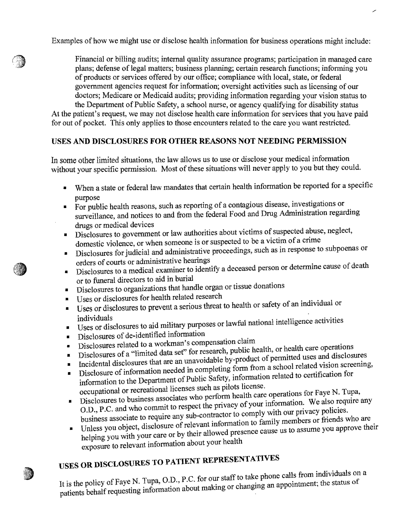Examples of how we might use or disclose health information for business operations might include:

Financial or billing audits; internal quality assurance programs; participation in managed care plans; defense of legal matters; business planning; certain research functions; informing you of products or services offered by our office; compliance with local, state, or federal government agencies request for information; oversight activities such as licensing of our doctors; Medicare or Medicaid audits; providing information regarding your vision status to the Department of Public Safety, a school nurse, or agency qualifying for disability status

At the patient's request, we may not disclose health care information for services that you have paid for out of pocket. This only applies to those encounters related to the care you want restricted.

### **USES AND DISCLOSURES FOR OTHER REASONS NOT NEEDING PERMISSION**

In some other limited situations, the law allows us to use or disclose your medical information without your specific permission. Most of these situations will never apply to you but they could.

- When a state or federal law mandates that certain health information be reported for a specific purpose
- For public health reasons, such as reporting of a contagious disease, investigations or surveillance, and notices to and from the federal Food and Drug Administration regarding drugs or medical devices
- Disclosures to government or law authorities about victims of suspected abuse, neglect, domestic violence, or when someone is or suspected to be a victim of a crime
- Disclosures for judicial and administrative proceedings, such as in response to subpoenas or orders of courts or administrative hearings
- Disclosures to a medical examiner to identify a deceased person or determine cause of death or to funeral directors to aid in burial
- Disclosures to organizations that handle organ or tissue donations
- Uses or disclosures for health related research
- Uses or disclosures to prevent a serious threat to health or safety of an individual or individuals
- $\blacksquare$  I Uses or disclosures to aid military purposes or lawful national intelligence activities
- Disclosures of de-identified information
- Disclosures related to a workman's compensation claim
- Disclosures of a "limited data set" for research, public health, or health care operations
- Incidental disclosures that are an unavoidable by-product of permitted uses and disclosures
- Disclosure of information needed in completing form from a school related vision screening,
- information to the Department of Public Safety, information related to certification for occupational or recreational licenses such as pilots license.
- Disclosures to business associates who perform health care operations for Faye N. Tupa, O.D., P.C. and who commit to respect the privacy of your information. We also require any business associate to require any sub-contractor to comply with our privacy policies.
- Unless you object, disclosure of relevant information to family members or friends who are helping you with your care or by their allowed presence cause us to assume you approve their exposure to relevant information about your health

# **USES OR DISCLOSURES TO PATIENT REPRESENTATIVES**

It is the policy of Faye N. Tupa, O.D., P.C. for our staff to take phone calls from individuals on a patients behalf requesting information about making or changing an appointment; the status of

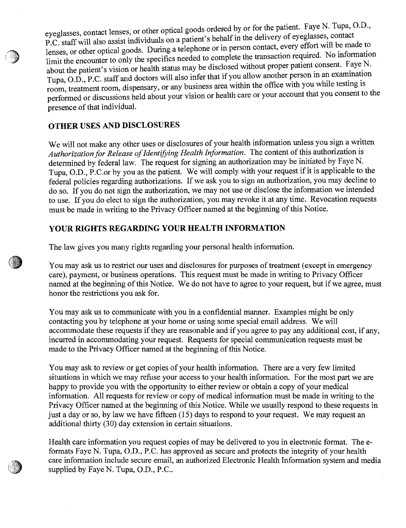eyeglasses, contact lenses, or other optical goods ordered by or for the patient. Faye N. Tupa, O.D., P.C. staff will also assist individuals on a patient's behalf in the delivery of eyeglasses, contact lenses, or other optical goods. During a telephone or in person contact, every effort will be made to limit the encounter to only the specifics needed to complete the transaction required. No information about the patient's vision or health status may be disclosed without proper patient consent. Faye N. Tupa, O.D., P.C. staff and doctors will also infer that if you allow another person in an examination room, treatment room, dispensary, or any business area within the office with you while testing is performed or discussions held about your vision or health care or your account that you consent to the presence of that individual.

#### **OTHER USES AND DISCLOSURES**

We will not make any other uses or disclosures of your health information unless you sign a written Authorization for Release of Identifying Health Information. The content of this authorization is determined by federal law. The request for signing an authorization may be initiated by Faye N. Tupa, O.D., P.C.or by you as the patient. We will comply with your request if it is applicable to the federal policies regarding authorizations. If we ask you to sign an authorization, you may decline to do so. If you do not sign the authorization, we may not use or disclose the information we intended to use. If you do elect to sign the authorization, you may revoke it at any time. Revocation requests must be made in writing to the Privacy Officer named at the beginning ofthis Notice.

### **YOUR RIGHTS REGARDING YOUR HEALTH INFORMATION**

The law gives you many rights regarding your personal health information.

You may ask us to restrict our uses and disclosures for purposes of treatment (except in emergency care), payment, or business operations. This request must be made in writing to Privacy Officer named at the beginning of this Notice. We do not have to agree to your request, but if we agree, must honor the restrictions you ask for.

You may ask us to communicate with you in a confidential manner. Examples might be only contacting you by telephone at your home or using some special email address. We will accommodate these requests if they are reasonable and if you agree to pay any additional cost, if any, incurred in accommodating your request. Requests for special communication requests must be made to the Privacy Officer named at the beginning of this Notice.

You may ask to review or get copies of your health information. There are a very few limited situations in which we may refuse your access to your health information. For the most part we are happy to provide you with the opportunity to either review or obtain a copy of your medical information. All requests for review or copy of medical information must be made in writing to the Privacy Officer named at the beginning of this Notice. While we usually respond to these requests in just a day or so, by law we have fifteen (15) days to respond to your request. We may request an additional thirty (30) day extension in certain situations.

Health care information you request copies of may be delivered to you in electronic format. The eformats Faye N. Tupa, D.D., P.C. has approved as secure and protects the integrity of your health care information include secure email, an authorized Electronic Health Information system and media supplied by Faye N. Tupa, O.D., P.C..